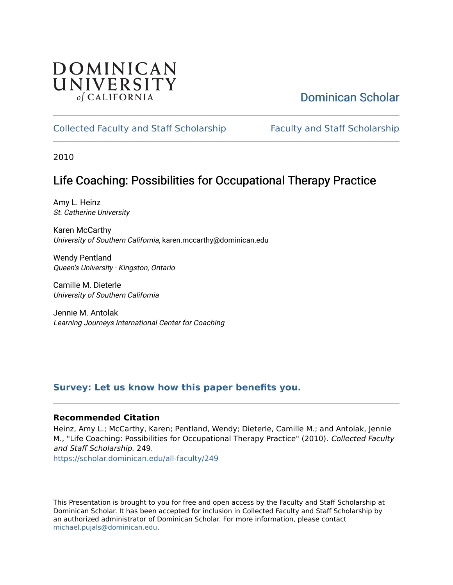### **DOMINICAN** UNIVERSITY of CALIFORNIA

### [Dominican Scholar](https://scholar.dominican.edu/)

### [Collected Faculty and Staff Scholarship](https://scholar.dominican.edu/all-faculty) [Faculty and Staff Scholarship](https://scholar.dominican.edu/faculty-scholarship)

2010

### Life Coaching: Possibilities for Occupational Therapy Practice

Amy L. Heinz St. Catherine University

Karen McCarthy University of Southern California, karen.mccarthy@dominican.edu

Wendy Pentland Queen's University - Kingston, Ontario

Camille M. Dieterle University of Southern California

Jennie M. Antolak Learning Journeys International Center for Coaching

### **[Survey: Let us know how this paper benefits you.](https://dominican.libwizard.com/dominican-scholar-feedback)**

### **Recommended Citation**

Heinz, Amy L.; McCarthy, Karen; Pentland, Wendy; Dieterle, Camille M.; and Antolak, Jennie M., "Life Coaching: Possibilities for Occupational Therapy Practice" (2010). Collected Faculty and Staff Scholarship. 249.

[https://scholar.dominican.edu/all-faculty/249](https://scholar.dominican.edu/all-faculty/249?utm_source=scholar.dominican.edu%2Fall-faculty%2F249&utm_medium=PDF&utm_campaign=PDFCoverPages) 

This Presentation is brought to you for free and open access by the Faculty and Staff Scholarship at Dominican Scholar. It has been accepted for inclusion in Collected Faculty and Staff Scholarship by an authorized administrator of Dominican Scholar. For more information, please contact [michael.pujals@dominican.edu.](mailto:michael.pujals@dominican.edu)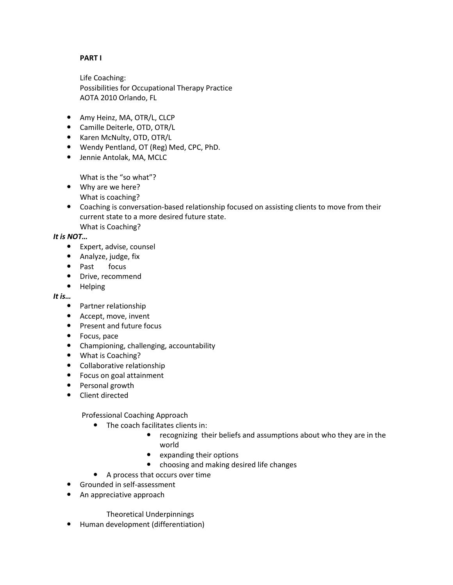### **PART I**

Life Coaching: Possibilities for Occupational Therapy Practice AOTA 2010 Orlando, FL

- Amy Heinz, MA, OTR/L, CLCP
- Camille Deiterle, OTD, OTR/L
- Karen McNulty, OTD, OTR/L
- Wendy Pentland, OT (Reg) Med, CPC, PhD.
- Jennie Antolak, MA, MCLC

What is the "so what"?

- Why are we here? What is coaching?
- Coaching is conversation-based relationship focused on assisting clients to move from their current state to a more desired future state. What is Coaching?

### *It is NOT…*

- Expert, advise, counsel
- Analyze, judge, fix
- Past focus
- Drive, recommend
- Helping

### *It is…*

- Partner relationship
- Accept, move, invent
- Present and future focus
- Focus, pace
- Championing, challenging, accountability
- What is Coaching?
- Collaborative relationship
- Focus on goal attainment
- Personal growth
- Client directed

Professional Coaching Approach

- The coach facilitates clients in:
	- recognizing their beliefs and assumptions about who they are in the world
	- expanding their options
	- choosing and making desired life changes
- A process that occurs over time
- Grounded in self-assessment
- An appreciative approach

### Theoretical Underpinnings

Human development (differentiation)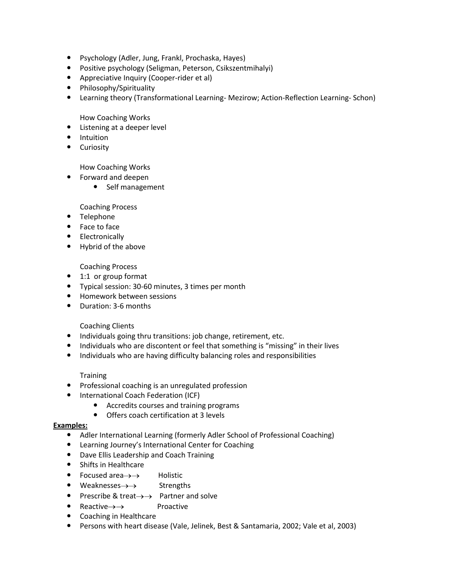- Psychology (Adler, Jung, Frankl, Prochaska, Hayes)
- Positive psychology (Seligman, Peterson, Csikszentmihalyi)
- Appreciative Inquiry (Cooper-rider et al)
- Philosophy/Spirituality
- Learning theory (Transformational Learning- Mezirow; Action-Reflection Learning- Schon)

How Coaching Works

- Listening at a deeper level
- Intuition
- Curiosity

### How Coaching Works

- Forward and deepen
	- Self management

### Coaching Process

- Telephone
- Face to face
- Electronically
- Hybrid of the above

### Coaching Process

- 1:1 or group format
- Typical session: 30-60 minutes, 3 times per month
- **•** Homework between sessions
- Duration: 3-6 months

### Coaching Clients

- Individuals going thru transitions: job change, retirement, etc.
- Individuals who are discontent or feel that something is "missing" in their lives
- Individuals who are having difficulty balancing roles and responsibilities

### **Training**

- Professional coaching is an unregulated profession
- International Coach Federation (ICF)
	- Accredits courses and training programs
	- Offers coach certification at 3 levels

### **Examples:**

- Adler International Learning (formerly Adler School of Professional Coaching)
- Learning Journey's International Center for Coaching
- Dave Ellis Leadership and Coach Training
- Shifts in Healthcare
- Focused area $\rightarrow \rightarrow$  Holistic
- $\bullet$  Weaknesses  $\rightarrow$  Strengths
- Prescribe & treat $\rightarrow$  Partner and solve
- Reactive $\rightarrow \rightarrow$  Proactive
- Coaching in Healthcare
- Persons with heart disease (Vale, Jelinek, Best & Santamaria, 2002; Vale et al, 2003)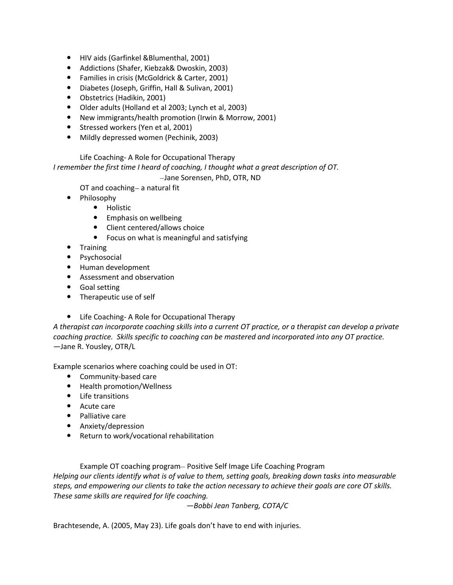- HIV aids (Garfinkel &Blumenthal, 2001)
- Addictions (Shafer, Kiebzak& Dwoskin, 2003)
- Families in crisis (McGoldrick & Carter, 2001)
- Diabetes (Joseph, Griffin, Hall & Sulivan, 2001)
- Obstetrics (Hadikin, 2001)
- Older adults (Holland et al 2003; Lynch et al, 2003)
- New immigrants/health promotion (Irwin & Morrow, 2001)
- Stressed workers (Yen et al, 2001)
- Mildly depressed women (Pechinik, 2003)

### Life Coaching- A Role for Occupational Therapy

*I remember the first time I heard of coaching, I thought what a great description of OT.*

Jane Sorensen, PhD, OTR, ND

OT and coaching- a natural fit

- Philosophy
	- **•** Holistic
	- **•** Emphasis on wellbeing
	- Client centered/allows choice
	- Focus on what is meaningful and satisfying
- Training
- Psychosocial
- Human development
- Assessment and observation
- Goal setting
- Therapeutic use of self
- Life Coaching- A Role for Occupational Therapy

*A therapist can incorporate coaching skills into a current OT practice, or a therapist can develop a private coaching practice. Skills specific to coaching can be mastered and incorporated into any OT practice.* —Jane R. Yousley, OTR/L

Example scenarios where coaching could be used in OT:

- Community-based care
- Health promotion/Wellness
- Life transitions
- Acute care
- Palliative care
- Anxiety/depression
- Return to work/vocational rehabilitation

Example OT coaching program- Positive Self Image Life Coaching Program

*Helping our clients identify what is of value to them, setting goals, breaking down tasks into measurable steps, and empowering our clients to take the action necessary to achieve their goals are core OT skills. These same skills are required for life coaching.*

*—Bobbi Jean Tanberg, COTA/C*

Brachtesende, A. (2005, May 23). Life goals don't have to end with injuries.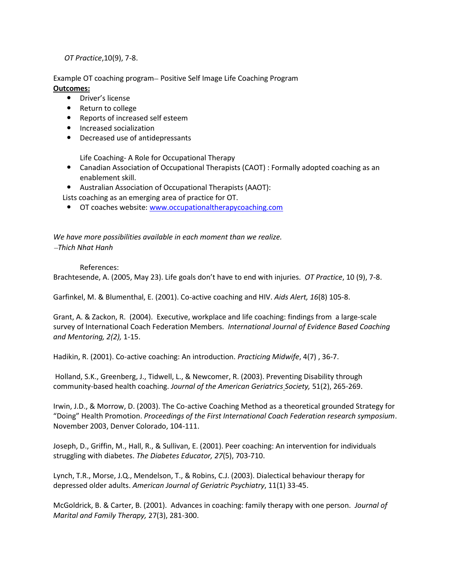*OT Practice*,10(9), 7-8.

Example OT coaching program – Positive Self Image Life Coaching Program **Outcomes:**

- Driver's license
- Return to college
- Reports of increased self esteem
- **•** Increased socialization
- Decreased use of antidepressants

Life Coaching- A Role for Occupational Therapy

- Canadian Association of Occupational Therapists (CAOT) : Formally adopted coaching as an enablement skill.
- Australian Association of Occupational Therapists (AAOT):

Lists coaching as an emerging area of practice for OT.

**OT coaches website:** [www.occupationaltherapycoaching.com](http://www.occupationaltherapycoaching.com/)

*We have more possibilities available in each moment than we realize. Thich Nhat Hanh* 

### References:

Brachtesende, A. (2005, May 23). Life goals don't have to end with injuries. *OT Practice*, 10 (9), 7-8.

Garfinkel, M. & Blumenthal, E. (2001). Co-active coaching and HIV. *Aids Alert, 16*(8) 105-8.

Grant, A. & Zackon, R. (2004). Executive, workplace and life coaching: findings from a large-scale survey of International Coach Federation Members. *International Journal of Evidence Based Coaching and Mentoring, 2(2),* 1-15.

Hadikin, R. (2001). Co-active coaching: An introduction. *Practicing Midwife*, 4(7) , 36-7.

Holland, S.K., Greenberg, J., Tidwell, L., & Newcomer, R. (2003). Preventing Disability through community-based health coaching. *Journal of the American Geriatrics Society,* 51(2), 265-269.

Irwin, J.D., & Morrow, D. (2003). The Co-active Coaching Method as a theoretical grounded Strategy for "Doing" Health Promotion. *Proceedings of the First International Coach Federation research symposium*. November 2003, Denver Colorado, 104-111.

Joseph, D., Griffin, M., Hall, R., & Sullivan, E. (2001). Peer coaching: An intervention for individuals struggling with diabetes. *The Diabetes Educator, 27*(5), 703-710.

Lynch, T.R., Morse, J.Q., Mendelson, T., & Robins, C.J. (2003). Dialectical behaviour therapy for depressed older adults. *American Journal of Geriatric Psychiatry*, 11(1) 33-45.

McGoldrick, B. & Carter, B. (2001). Advances in coaching: family therapy with one person. *Journal of Marital and Family Therapy,* 27(3), 281-300.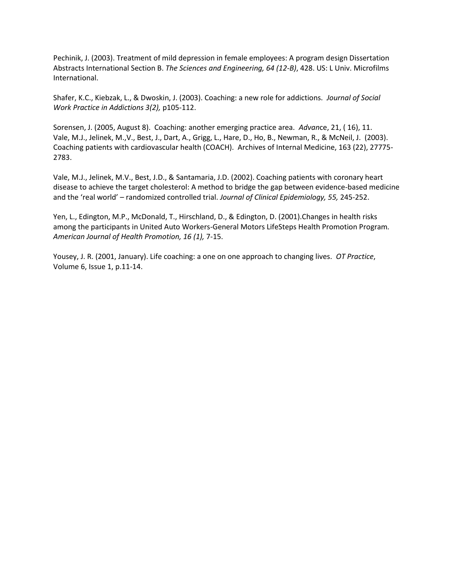Pechinik, J. (2003). Treatment of mild depression in female employees: A program design Dissertation Abstracts International Section B. *The Sciences and Engineering, 64 (12-B)*, 428. US: L Univ. Microfilms International.

Shafer, K.C., Kiebzak, L., & Dwoskin, J. (2003). Coaching: a new role for addictions. *Journal of Social Work Practice in Addictions 3(2),* p105-112.

Sorensen, J. (2005, August 8). Coaching: another emerging practice area. *Advan*ce, 21, ( 16), 11. Vale, M.J., Jelinek, M.,V., Best, J., Dart, A., Grigg, L., Hare, D., Ho, B., Newman, R., & McNeil, J. (2003). Coaching patients with cardiovascular health (COACH). Archives of Internal Medicine, 163 (22), 27775- 2783.

Vale, M.J., Jelinek, M.V., Best, J.D., & Santamaria, J.D. (2002). Coaching patients with coronary heart disease to achieve the target cholesterol: A method to bridge the gap between evidence-based medicine and the 'real world' – randomized controlled trial. *Journal of Clinical Epidemiology, 55,* 245-252.

Yen, L., Edington, M.P., McDonald, T., Hirschland, D., & Edington, D. (2001).Changes in health risks among the participants in United Auto Workers-General Motors LifeSteps Health Promotion Program*. American Journal of Health Promotion, 16 (1),* 7-15.

Yousey, J. R. (2001, January). Life coaching: a one on one approach to changing lives. *OT Practice*, Volume 6, Issue 1, p.11-14.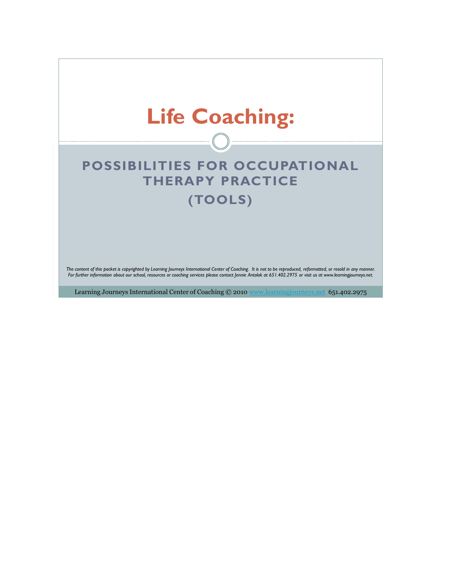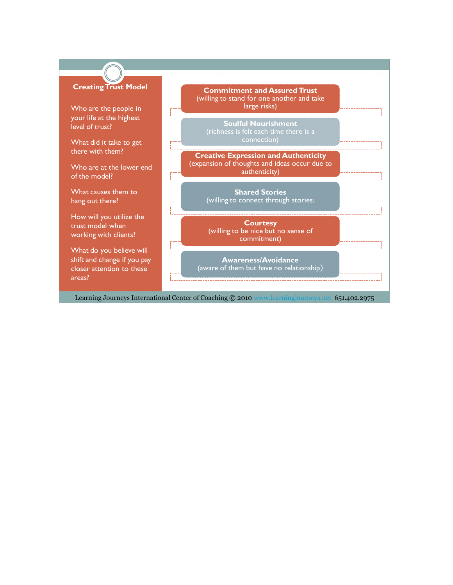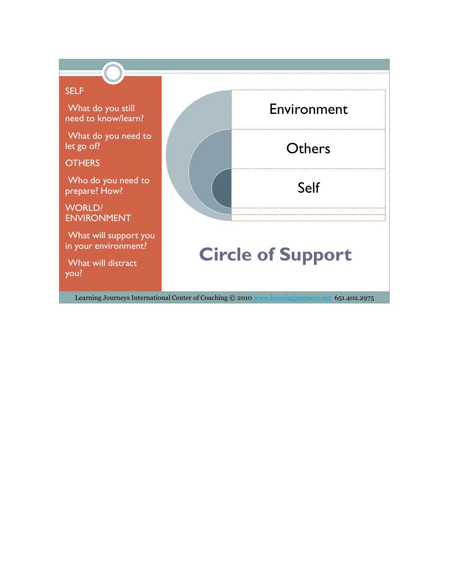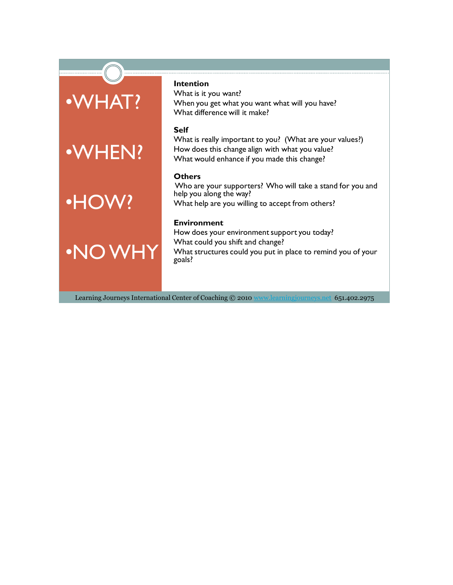## •WHAT?



# •HOW?

•NO WHY

### **Intention**

What is it you want? When you get what you want what will you have? What difference will it make?

### **Self**

What is really important to you? (What are your values?) How does this change align with what you value? What would enhance if you made this change?

### **Others**

Who are your supporters? Who will take a stand for you and help you along the way? What help are you willing to accept from others?

### **Environment**

How does your environment support you today? What could you shift and change? What structures could you put in place to remind you of your goals?

Learning Journeys International Center of Coaching © 2010 www.learningjourneys.net 651.402.2975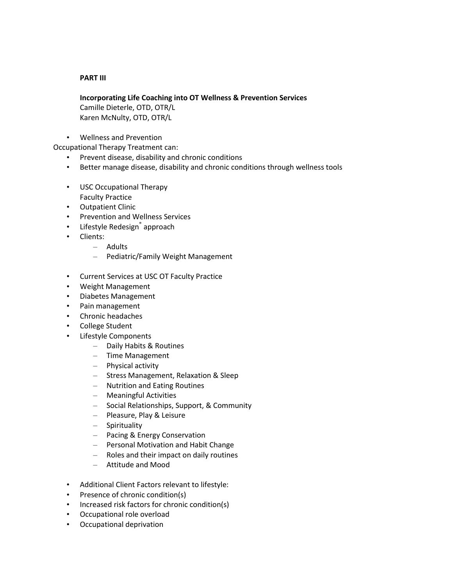### **PART III**

### **Incorporating Life Coaching into OT Wellness & Prevention Services**

Camille Dieterle, OTD, OTR/L Karen McNulty, OTD, OTR/L

• Wellness and Prevention

Occupational Therapy Treatment can:

- Prevent disease, disability and chronic conditions
- Better manage disease, disability and chronic conditions through wellness tools
- USC Occupational Therapy Faculty Practice
- Outpatient Clinic
- Prevention and Wellness Services
- Lifestyle Redesign<sup>®</sup> approach
- Clients:
	- Adults
	- Pediatric/Family Weight Management
- Current Services at USC OT Faculty Practice
- Weight Management
- Diabetes Management
- Pain management
- Chronic headaches
- College Student
- Lifestyle Components
	- Daily Habits & Routines
	- Time Management
	- Physical activity
	- Stress Management, Relaxation & Sleep
	- Nutrition and Eating Routines
	- Meaningful Activities
	- Social Relationships, Support, & Community
	- Pleasure, Play & Leisure
	- Spirituality
	- Pacing & Energy Conservation
	- Personal Motivation and Habit Change
	- Roles and their impact on daily routines
	- Attitude and Mood
- Additional Client Factors relevant to lifestyle:
- Presence of chronic condition(s)
- Increased risk factors for chronic condition(s)
- Occupational role overload
- Occupational deprivation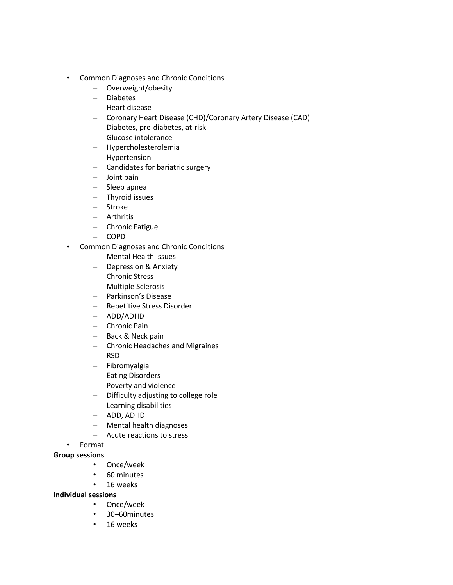- Common Diagnoses and Chronic Conditions
	- Overweight/obesity
	- Diabetes
	- Heart disease
	- Coronary Heart Disease (CHD)/Coronary Artery Disease (CAD)
	- Diabetes, pre-diabetes, at-risk
	- Glucose intolerance
	- Hypercholesterolemia
	- Hypertension
	- Candidates for bariatric surgery
	- Joint pain
	- Sleep apnea
	- Thyroid issues
	- Stroke
	- Arthritis
	- Chronic Fatigue
	- COPD
- Common Diagnoses and Chronic Conditions
	- Mental Health Issues
	- Depression & Anxiety
	- Chronic Stress
	- Multiple Sclerosis
	- Parkinson's Disease
	- Repetitive Stress Disorder
	- ADD/ADHD
	- Chronic Pain
	- Back & Neck pain
	- Chronic Headaches and Migraines
	- RSD
	- Fibromyalgia
	- Eating Disorders
	- Poverty and violence
	- Difficulty adjusting to college role
	- Learning disabilities
	- ADD, ADHD
	- Mental health diagnoses
	- Acute reactions to stress
- Format

### **Group sessions**

- Once/week
- 60 minutes
- 16 weeks

### **Individual sessions**

- Once/week
- 30–60minutes
- 16 weeks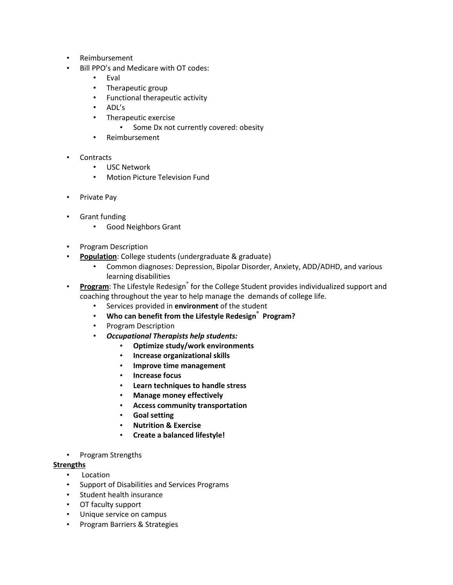- Reimbursement
- Bill PPO's and Medicare with OT codes:
	- Eval
	- Therapeutic group
	- Functional therapeutic activity
	- ADL's
	- Therapeutic exercise
		- Some Dx not currently covered: obesity
	- Reimbursement
- Contracts
	- USC Network
	- Motion Picture Television Fund
- Private Pay
- Grant funding
	- Good Neighbors Grant
- Program Description
- **Population**: College students (undergraduate & graduate)
	- Common diagnoses: Depression, Bipolar Disorder, Anxiety, ADD/ADHD, and various learning disabilities
- Program: The Lifestyle Redesign<sup>®</sup> for the College Student provides individualized support and coaching throughout the year to help manage the demands of college life.
	- Services provided in **environment** of the student
	- **Who can benefit from the Lifestyle Redesign® Program?**
	- Program Description
	- *Occupational Therapists help students:*
		- **Optimize study/work environments**
		- **Increase organizational skills**
		- **Improve time management**
		- **Increase focus**
		- **Learn techniques to handle stress**
		- **Manage money effectively**
		- **Access community transportation**
		- **Goal setting**
		- **Nutrition & Exercise**
		- **Create a balanced lifestyle!**
- Program Strengths

### **Strengths**

- Location
- Support of Disabilities and Services Programs
- Student health insurance
- OT faculty support
- Unique service on campus
- Program Barriers & Strategies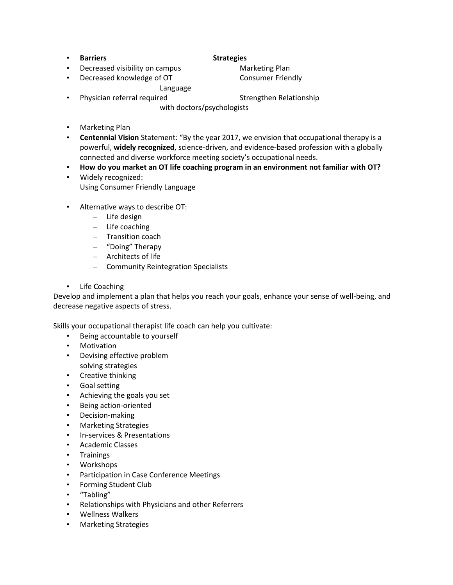• **Barriers Strategies**

- **Decreased visibility on campus Marketing Plan**
- Decreased knowledge of OT Consumer Friendly

Language

- Physician referral required Strengthen Relationship with doctors/psychologists
- Marketing Plan
- **Centennial Vision** Statement: "By the year 2017, we envision that occupational therapy is a powerful, **widely recognized**, science-driven, and evidence-based profession with a globally connected and diverse workforce meeting society's occupational needs.
- **How do you market an OT life coaching program in an environment not familiar with OT?**
- Widely recognized: Using Consumer Friendly Language
- Alternative ways to describe OT:
	- Life design
	- Life coaching
	- Transition coach
	- "Doing" Therapy
	- Architects of life
	- Community Reintegration Specialists
- Life Coaching

Develop and implement a plan that helps you reach your goals, enhance your sense of well-being, and decrease negative aspects of stress.

Skills your occupational therapist life coach can help you cultivate:

- Being accountable to yourself
- Motivation
- Devising effective problem solving strategies
- Creative thinking
- Goal setting
- Achieving the goals you set
- Being action-oriented
- Decision-making
- Marketing Strategies
- In-services & Presentations
- Academic Classes
- Trainings
- Workshops
- Participation in Case Conference Meetings
- Forming Student Club
- "Tabling"
- Relationships with Physicians and other Referrers
- Wellness Walkers
- Marketing Strategies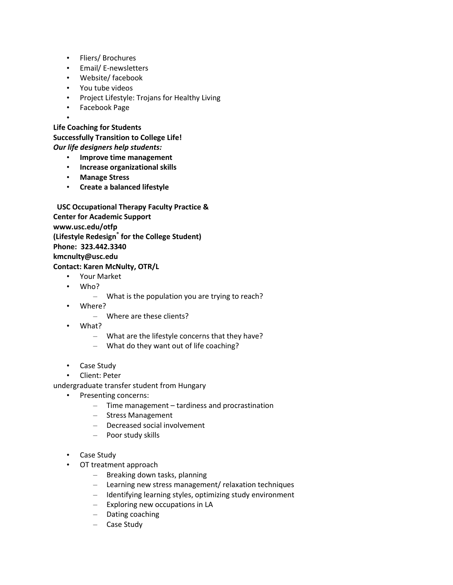- Fliers/ Brochures
- Email/ E-newsletters
- Website/ facebook
- You tube videos
- Project Lifestyle: Trojans for Healthy Living
- Facebook Page
- •

**Life Coaching for Students**

**Successfully Transition to College Life!** *Our life designers help students:*

- **Improve time management**
- **Increase organizational skills**
- **Manage Stress**
- **Create a balanced lifestyle**

 **USC Occupational Therapy Faculty Practice & Center for Academic Support www.usc.edu/otfp (Lifestyle Redesign® for the College Student) Phone: 323.442.3340 kmcnulty@usc.edu Contact: Karen McNulty, OTR/L**

- Your Market
- Who?
	- What is the population you are trying to reach?
- Where?
	- Where are these clients?
- What?
	- What are the lifestyle concerns that they have?
	- What do they want out of life coaching?
- Case Study
- Client: Peter

undergraduate transfer student from Hungary

- Presenting concerns:
	- Time management tardiness and procrastination
	- Stress Management
	- Decreased social involvement
	- Poor study skills
- Case Study
- OT treatment approach
	- Breaking down tasks, planning
	- Learning new stress management/ relaxation techniques
	- Identifying learning styles, optimizing study environment
	- Exploring new occupations in LA
	- Dating coaching
	- Case Study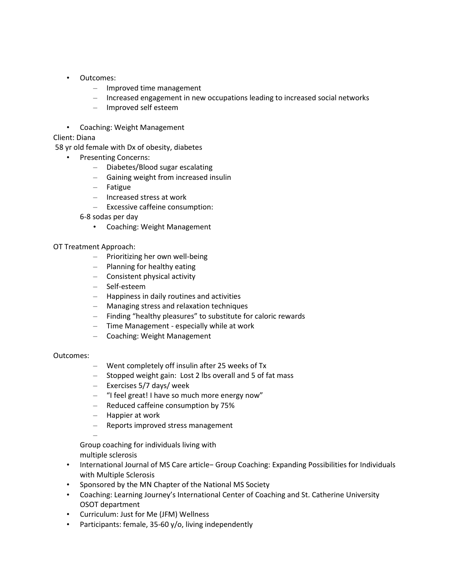- Outcomes:
	- Improved time management
	- Increased engagement in new occupations leading to increased social networks
	- Improved self esteem
- Coaching: Weight Management

Client: Diana

58 yr old female with Dx of obesity, diabetes

- Presenting Concerns:
	- Diabetes/Blood sugar escalating
	- Gaining weight from increased insulin
	- Fatigue
	- Increased stress at work
	- Excessive caffeine consumption:
	- 6-8 sodas per day
		- Coaching: Weight Management

### OT Treatment Approach:

- Prioritizing her own well-being
- Planning for healthy eating
- Consistent physical activity
- Self-esteem
- Happiness in daily routines and activities
- Managing stress and relaxation techniques
- Finding "healthy pleasures" to substitute for caloric rewards
- Time Management especially while at work
- Coaching: Weight Management

### Outcomes:

- Went completely off insulin after 25 weeks of Tx
- Stopped weight gain: Lost 2 lbs overall and 5 of fat mass
- Exercises 5/7 days/ week
- "I feel great! I have so much more energy now"
- Reduced caffeine consumption by 75%
- Happier at work
- Reports improved stress management

– Group coaching for individuals living with multiple sclerosis

- International Journal of MS Care article− Group Coaching: Expanding Possibilities for Individuals with Multiple Sclerosis
- Sponsored by the MN Chapter of the National MS Society
- Coaching: Learning Journey's International Center of Coaching and St. Catherine University OSOT department
- Curriculum: Just for Me (JFM) Wellness
- Participants: female, 35-60 y/o, living independently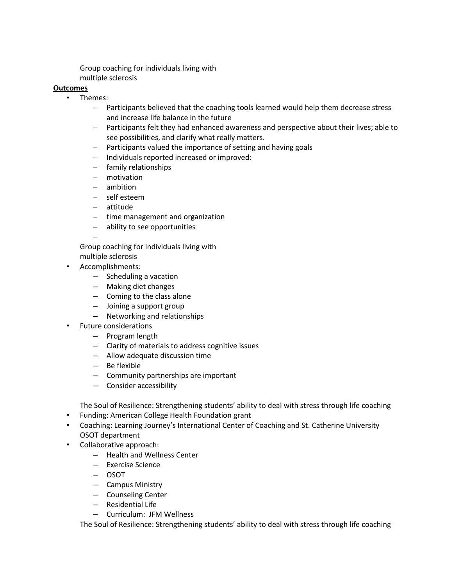Group coaching for individuals living with multiple sclerosis

### **Outcomes**

- Themes:
	- Participants believed that the coaching tools learned would help them decrease stress and increase life balance in the future
	- Participants felt they had enhanced awareness and perspective about their lives; able to see possibilities, and clarify what really matters.
	- Participants valued the importance of setting and having goals
	- Individuals reported increased or improved:
	- family relationships
	- motivation
	- ambition
	- self esteem
	- attitude
	- time management and organization
	- ability to see opportunities

Group coaching for individuals living with multiple sclerosis

• Accomplishments:

–

- Scheduling a vacation
- Making diet changes
- Coming to the class alone
- Joining a support group
- Networking and relationships
- Future considerations
	- Program length
	- Clarity of materials to address cognitive issues
	- Allow adequate discussion time
	- Be flexible
	- Community partnerships are important
	- Consider accessibility

The Soul of Resilience: Strengthening students' ability to deal with stress through life coaching

- Funding: American College Health Foundation grant
- Coaching: Learning Journey's International Center of Coaching and St. Catherine University OSOT department
- Collaborative approach:
	- Health and Wellness Center
	- Exercise Science
	- OSOT
	- Campus Ministry
	- Counseling Center
	- Residential Life
	- Curriculum: JFM Wellness

The Soul of Resilience: Strengthening students' ability to deal with stress through life coaching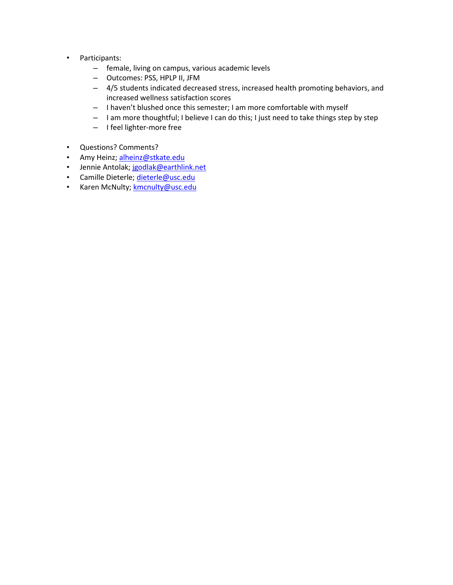- Participants:
	- female, living on campus, various academic levels
	- Outcomes: PSS, HPLP II, JFM
	- 4/5 students indicated decreased stress, increased health promoting behaviors, and increased wellness satisfaction scores
	- I haven't blushed once this semester; I am more comfortable with myself
	- I am more thoughtful; I believe I can do this; I just need to take things step by step
	- I feel lighter-more free
- Questions? Comments?
- Amy Heinz; [alheinz@stkate.edu](mailto:alheinz@stkate.edu)
- Jennie Antolak; [jgodlak@earthlink.net](mailto:jgodlak@earthlink.net)
- Camille Dieterle[; dieterle@usc.edu](mailto:dieterle@usc.edu)
- Karen McNulty; [kmcnulty@usc.edu](mailto:kmcnulty@usc.edu)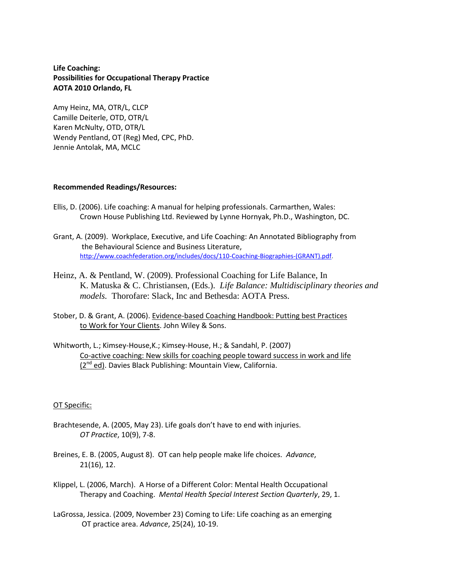### **Life Coaching: Possibilities for Occupational Therapy Practice AOTA 2010 Orlando, FL**

Amy Heinz, MA, OTR/L, CLCP Camille Deiterle, OTD, OTR/L Karen McNulty, OTD, OTR/L Wendy Pentland, OT (Reg) Med, CPC, PhD. Jennie Antolak, MA, MCLC

### **Recommended Readings/Resources:**

- Ellis, D. (2006). Life coaching: A manual for helping professionals. Carmarthen, Wales: Crown House Publishing Ltd. Reviewed by Lynne Hornyak, Ph.D., Washington, DC.
- Grant, A. (2009). Workplace, Executive, and Life Coaching: An Annotated Bibliography from the Behavioural Science and Business Literature, [http://www.coachfederation.org/includes/docs/110-Coaching-Biographies-\(GRANT\).pdf.](http://www.coachfederation.org/includes/docs/110-Coaching-Biographies-(GRANT).pdf)
- Heinz, A. & Pentland, W. (2009). Professional Coaching for Life Balance, In K. Matuska & C. Christiansen, (Eds.). *Life Balance: Multidisciplinary theories and models.* Thorofare: Slack, Inc and Bethesda: AOTA Press.
- Stober, D. & Grant, A. (2006). Evidence-based Coaching Handbook: Putting best Practices to Work for Your Clients. John Wiley & Sons.
- Whitworth, L.; Kimsey-House,K.; Kimsey-House, H.; & Sandahl, P. (2007) Co-active coaching: New skills for coaching people toward success in work and life  $(2^{nd}$  ed). Davies Black Publishing: Mountain View, California.

### OT Specific:

- Brachtesende, A. (2005, May 23). Life goals don't have to end with injuries. *OT Practice*, 10(9), 7-8.
- Breines, E. B. (2005, August 8). OT can help people make life choices. *Advance*, 21(16), 12.
- Klippel, L. (2006, March). A Horse of a Different Color: Mental Health Occupational Therapy and Coaching. *Mental Health Special Interest Section Quarterly*, 29, 1.
- LaGrossa, Jessica. (2009, November 23) Coming to Life: Life coaching as an emerging OT practice area. *Advance*, 25(24), 10-19.